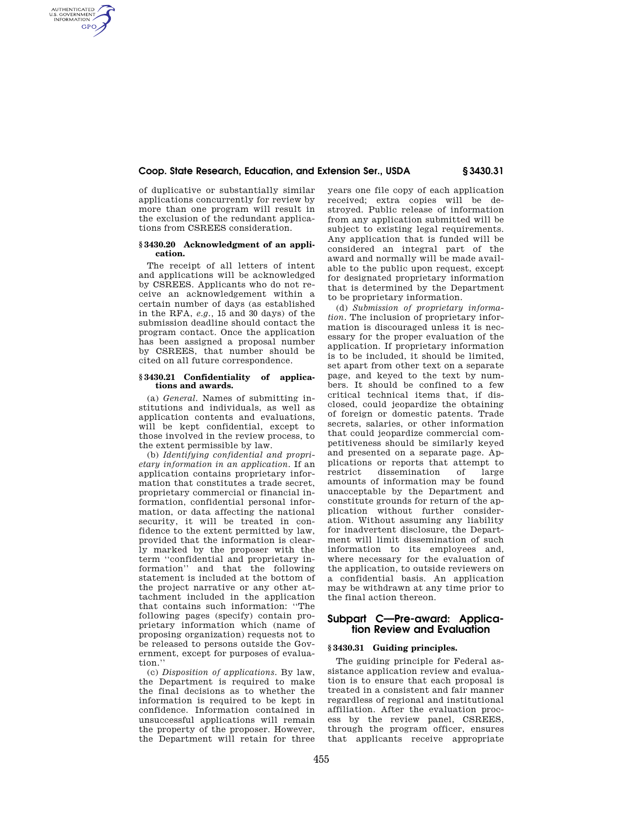## **Coop. State Research, Education, and Extension Ser., USDA § 3430.31**

of duplicative or substantially similar applications concurrently for review by more than one program will result in the exclusion of the redundant applications from CSREES consideration.

AUTHENTICATED<br>U.S. GOVERNMENT<br>INFORMATION **GPO** 

### **§ 3430.20 Acknowledgment of an application.**

The receipt of all letters of intent and applications will be acknowledged by CSREES. Applicants who do not receive an acknowledgement within a certain number of days (as established in the RFA, *e.g.,* 15 and 30 days) of the submission deadline should contact the program contact. Once the application has been assigned a proposal number by CSREES, that number should be cited on all future correspondence.

### **§ 3430.21 Confidentiality of applications and awards.**

(a) *General.* Names of submitting institutions and individuals, as well as application contents and evaluations, will be kept confidential, except to those involved in the review process, to the extent permissible by law.

(b) *Identifying confidential and proprietary information in an application.* If an application contains proprietary information that constitutes a trade secret, proprietary commercial or financial information, confidential personal information, or data affecting the national security, it will be treated in confidence to the extent permitted by law. provided that the information is clearly marked by the proposer with the term ''confidential and proprietary information'' and that the following statement is included at the bottom of the project narrative or any other attachment included in the application that contains such information: ''The following pages (specify) contain proprietary information which (name of proposing organization) requests not to be released to persons outside the Government, except for purposes of evaluation.''

(c) *Disposition of applications.* By law, the Department is required to make the final decisions as to whether the information is required to be kept in confidence. Information contained in unsuccessful applications will remain the property of the proposer. However, the Department will retain for three

years one file copy of each application received; extra copies will be destroyed. Public release of information from any application submitted will be subject to existing legal requirements. Any application that is funded will be considered an integral part of the award and normally will be made available to the public upon request, except for designated proprietary information that is determined by the Department to be proprietary information.

(d) *Submission of proprietary information.* The inclusion of proprietary information is discouraged unless it is necessary for the proper evaluation of the application. If proprietary information is to be included, it should be limited, set apart from other text on a separate page, and keyed to the text by numbers. It should be confined to a few critical technical items that, if disclosed, could jeopardize the obtaining of foreign or domestic patents. Trade secrets, salaries, or other information that could jeopardize commercial competitiveness should be similarly keyed and presented on a separate page. Applications or reports that attempt to<br>restrict dissemination of large restrict dissemination amounts of information may be found unacceptable by the Department and constitute grounds for return of the application without further consideration. Without assuming any liability for inadvertent disclosure, the Department will limit dissemination of such information to its employees and, where necessary for the evaluation of the application, to outside reviewers on a confidential basis. An application may be withdrawn at any time prior to the final action thereon.

# **Subpart C—Pre-award: Application Review and Evaluation**

## **§ 3430.31 Guiding principles.**

The guiding principle for Federal assistance application review and evaluation is to ensure that each proposal is treated in a consistent and fair manner regardless of regional and institutional affiliation. After the evaluation process by the review panel, CSREES, through the program officer, ensures that applicants receive appropriate